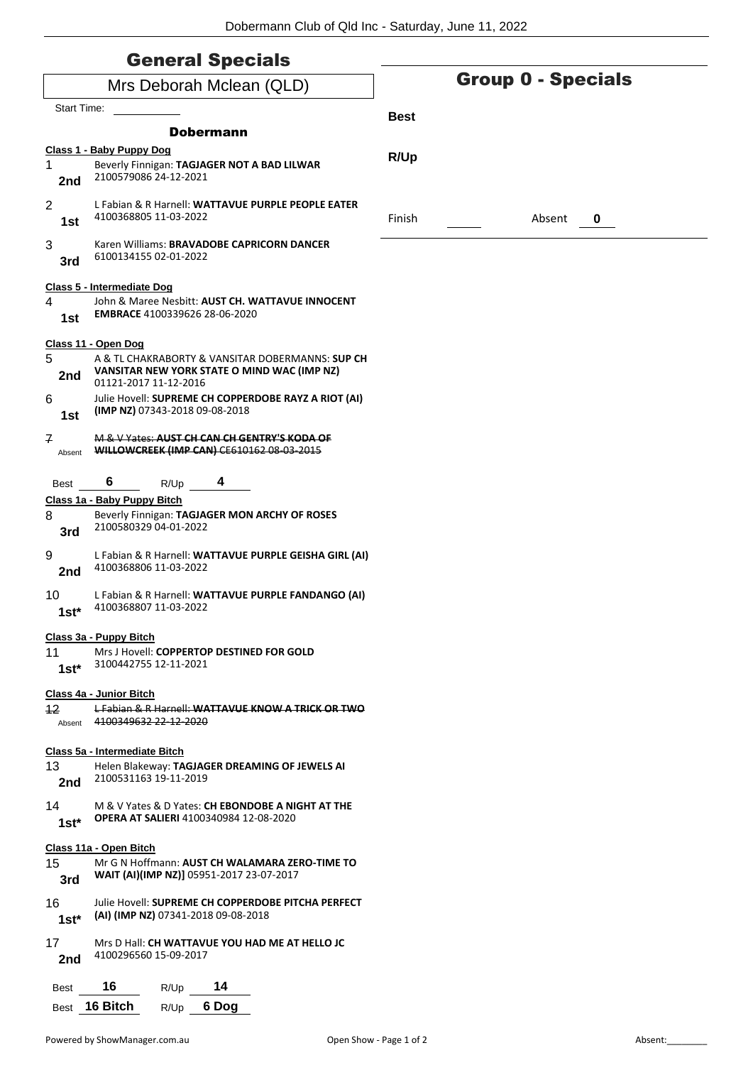| <b>General Specials</b>  |
|--------------------------|
| Mrs Deborah Mclean (QLD) |

| Mrs Deborah Mclean (QLD)    |                                                                                                                          |             | <b>Group 0 - Specials</b> |
|-----------------------------|--------------------------------------------------------------------------------------------------------------------------|-------------|---------------------------|
| <b>Start Time:</b>          |                                                                                                                          |             |                           |
|                             | <b>Dobermann</b>                                                                                                         | <b>Best</b> |                           |
|                             | Class 1 - Baby Puppy Dog                                                                                                 |             |                           |
| 1.<br>2nd                   | Beverly Finnigan: TAGJAGER NOT A BAD LILWAR<br>2100579086 24-12-2021                                                     | R/Up        |                           |
| $\overline{2}$<br>1st       | L Fabian & R Harnell: WATTAVUE PURPLE PEOPLE EATER<br>4100368805 11-03-2022                                              | Finish      | Absent<br>0               |
| 3<br>3rd                    | Karen Williams: BRAVADOBE CAPRICORN DANCER<br>6100134155 02-01-2022                                                      |             |                           |
|                             | Class 5 - Intermediate Dog                                                                                               |             |                           |
| 4<br>1st                    | John & Maree Nesbitt: AUST CH. WATTAVUE INNOCENT<br>EMBRACE 4100339626 28-06-2020                                        |             |                           |
|                             | Class 11 - Open Dog                                                                                                      |             |                           |
| 5<br>2nd                    | A & TL CHAKRABORTY & VANSITAR DOBERMANNS: SUP CH<br>VANSITAR NEW YORK STATE O MIND WAC (IMP NZ)<br>01121-2017 11-12-2016 |             |                           |
| 6<br>1st                    | Julie Hovell: SUPREME CH COPPERDOBE RAYZ A RIOT (AI)<br>(IMP NZ) 07343-2018 09-08-2018                                   |             |                           |
| $\mathbf{z}$<br>Absent      | M & V Yates: AUST CH CAN CH GENTRY'S KODA OF<br>WILLOWCREEK (IMP CAN) CE610162 08-03-2015                                |             |                           |
| Best                        | 6<br>4<br>R/Up                                                                                                           |             |                           |
|                             | Class 1a - Baby Puppy Bitch                                                                                              |             |                           |
| 8<br>3rd                    | Beverly Finnigan: TAGJAGER MON ARCHY OF ROSES<br>2100580329 04-01-2022                                                   |             |                           |
| 9<br>2nd                    | L Fabian & R Harnell: WATTAVUE PURPLE GEISHA GIRL (AI)<br>4100368806 11-03-2022                                          |             |                           |
| 10<br>$1st*$                | L Fabian & R Harnell: WATTAVUE PURPLE FANDANGO (AI)<br>4100368807 11-03-2022                                             |             |                           |
|                             | Class 3a - Puppy Bitch                                                                                                   |             |                           |
| 11<br>$1st^*$               | Mrs J Hovell: COPPERTOP DESTINED FOR GOLD<br>3100442755 12-11-2021                                                       |             |                           |
| $12 \overline{ }$<br>Absent | Class 4a - Junior Bitch<br>L Fabian & R Harnell: WATTAVUE KNOW A TRICK OR TWO<br>4100349632 22-12-2020                   |             |                           |
|                             |                                                                                                                          |             |                           |
| 13<br>2nd                   | Class 5a - Intermediate Bitch<br>Helen Blakeway: TAGJAGER DREAMING OF JEWELS AI<br>2100531163 19-11-2019                 |             |                           |
| 14<br>$1st^*$               | M & V Yates & D Yates: CH EBONDOBE A NIGHT AT THE<br><b>OPERA AT SALIERI 4100340984 12-08-2020</b>                       |             |                           |
|                             | Class 11a - Open Bitch                                                                                                   |             |                           |
| 15<br>3rd                   | Mr G N Hoffmann: AUST CH WALAMARA ZERO-TIME TO<br>WAIT (AI)(IMP NZ)] 05951-2017 23-07-2017                               |             |                           |
| 16<br>$1st^*$               | Julie Hovell: SUPREME CH COPPERDOBE PITCHA PERFECT<br>(AI) (IMP NZ) 07341-2018 09-08-2018                                |             |                           |
| 17<br>2nd                   | Mrs D Hall: CH WATTAVUE YOU HAD ME AT HELLO JC<br>4100296560 15-09-2017                                                  |             |                           |
| Best                        | 16<br>14<br>R/Up                                                                                                         |             |                           |
|                             | Best 16 Bitch<br>6 Dog<br>R/Up                                                                                           |             |                           |